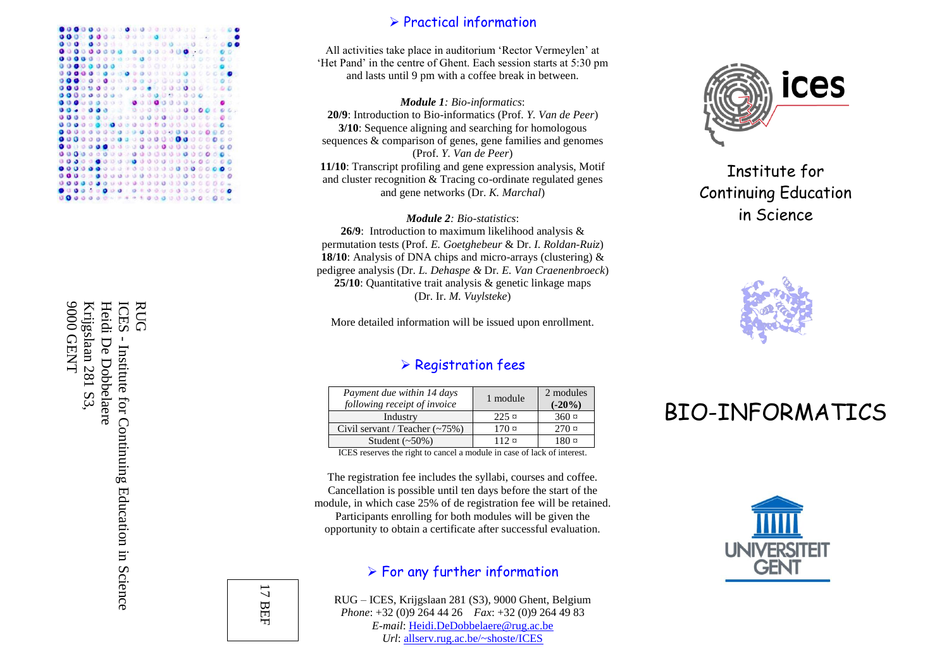

 $\triangleright$  Practical information

All activities take place in auditorium 'Rector Vermeylen' at 'Het Pand' in the centre of Ghent. Each session starts at 5:30 pm and lasts until 9 pm with a coffee break in between.

*Module 1: Bio -informatics* : **20/9**: Introduction to Bio -informatics (Prof. *Y. Van de Peer* ) **3/10**: Sequence aligning and searching for homologous sequences & comparison of genes, gene families and genomes (Prof. *Y. Van de Peer* ) **11/10**: Transcript profiling and gene expression analysis, Motif and cluster recognition & Tracing co -ordinate regulated genes and gene networks (Dr. *K. Marchal* )

*Module 2: Bio -statistics* : **26/9**: Introduction to maximum likelihood analysis & permutation tests (Prof. *E. Goetghebeur* & Dr. *I. Roldan -Ruiz* ) **18/10**: Analysis of DNA chips and micro -arrays (clustering) & pedigree analysis (Dr. *L. Dehaspe &* Dr*. E. Van Craenenbroeck* ) **25/10**: Quantitative trait analysis & genetic linkage maps (Dr. Ir. *M. Vuylsteke* )

More detailed information will be issued upon enrollment.

#### $\triangleright$  Registration fees

| Payment due within 14 days<br>following receipt of invoice | 1 module             | 2 modules<br>$(-20\%)$ |
|------------------------------------------------------------|----------------------|------------------------|
| Industry                                                   | $225 \,\mathrm{\mu}$ | $360 \,\mathrm{m}$     |
| Civil servant / Teacher $(-75%)$                           | $170 \,\mathrm{x}$   | $270 \,\mathrm{m}$     |
| Student $(\sim 50\%)$                                      | 112 ¤                | 180 ¤                  |

ICES reserves the right to cancel a module in case of lack of interest.

The registration fee includes the syllabi, courses and coffee. Cancellation is possible until ten days before the start of the module, in which case 25% of de registration fee will be retained. Participants enrolling for both modules will be given the opportunity to obtain a certificate after successful evaluation.

#### $\triangleright$  For any further information

RUG – ICES, Krijgslaan 281 (S3), 9000 Ghent, Belgium *Phone*: +32 (0)9 264 44 26 *Fax*: +32 (0)9 264 49 83 *E-mail*[: Heidi.DeDobbelaere@rug.ac.be](mailto:Heidi.DeDobbelaere@rug.ac.be) *Url*: allserv.rug.ac.be/~shoste/ICES



Institute for Continuing Education in Science



# BIO -INFORMATICS



Heidi ICES RUG **JUANEO** 0006 9000 GENT Krijgslaan 281 S3, Heidi De Dobbelaere Krijgslaan 281 S3, De Dobbelaere - Institute for Continuing Education in Science Institute for Continuing Education in Science